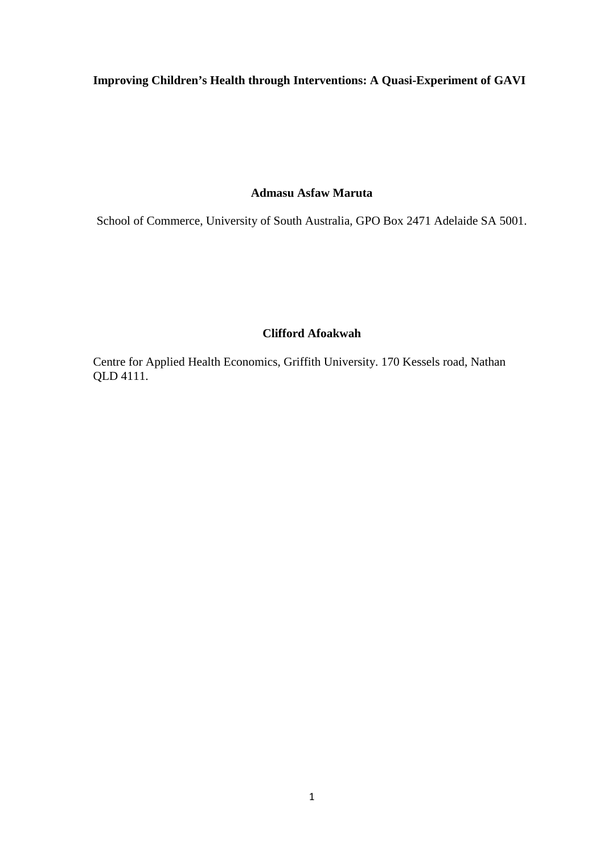# **Improving Children's Health through Interventions: A Quasi-Experiment of GAVI**

## **Admasu Asfaw Maruta**

School of Commerce, University of South Australia, GPO Box 2471 Adelaide SA 5001.

## **Clifford Afoakwah**

Centre for Applied Health Economics, Griffith University. 170 Kessels road, Nathan QLD 4111.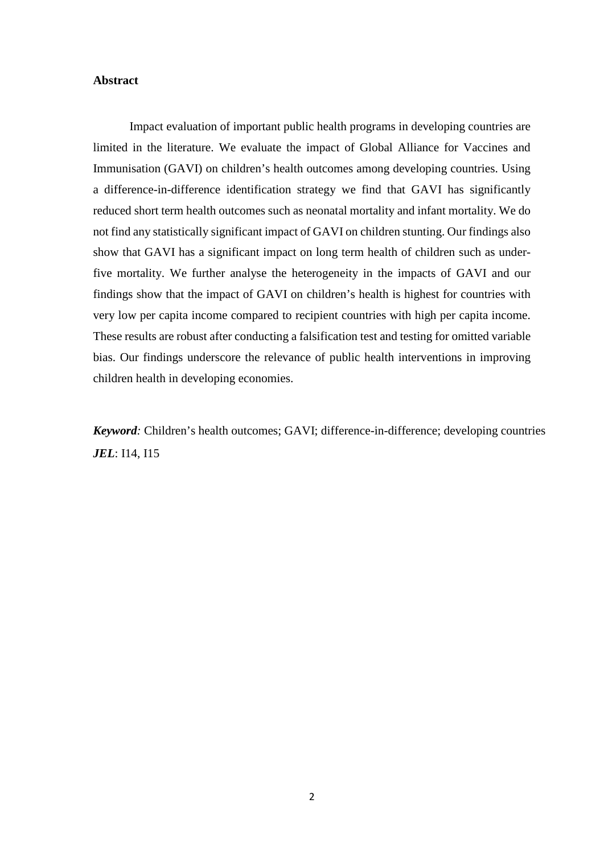## **Abstract**

Impact evaluation of important public health programs in developing countries are limited in the literature. We evaluate the impact of Global Alliance for Vaccines and Immunisation (GAVI) on children's health outcomes among developing countries. Using a difference-in-difference identification strategy we find that GAVI has significantly reduced short term health outcomes such as neonatal mortality and infant mortality. We do not find any statistically significant impact of GAVI on children stunting. Our findings also show that GAVI has a significant impact on long term health of children such as underfive mortality. We further analyse the heterogeneity in the impacts of GAVI and our findings show that the impact of GAVI on children's health is highest for countries with very low per capita income compared to recipient countries with high per capita income. These results are robust after conducting a falsification test and testing for omitted variable bias. Our findings underscore the relevance of public health interventions in improving children health in developing economies.

*Keyword:* Children's health outcomes; GAVI; difference-in-difference; developing countries *JEL*: I14, I15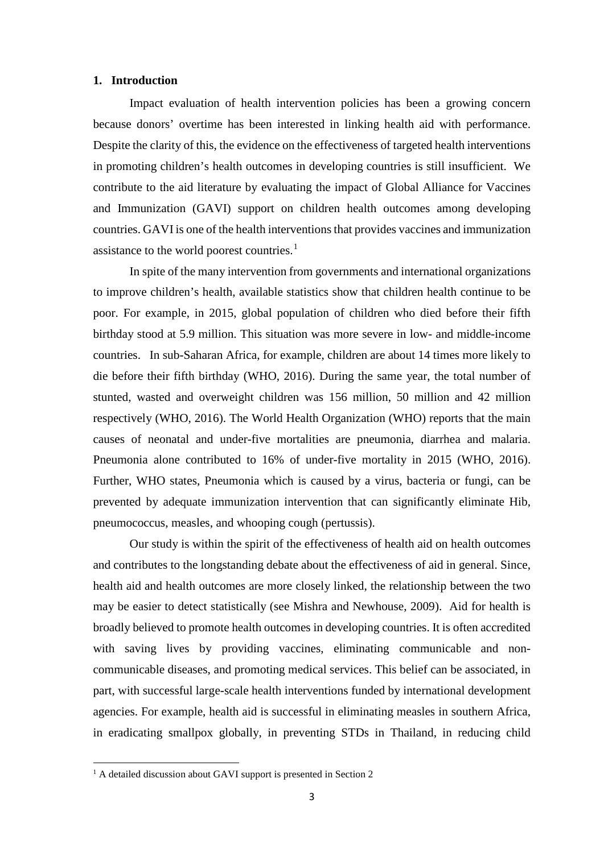### **1. Introduction**

Impact evaluation of health intervention policies has been a growing concern because donors' overtime has been interested in linking health aid with performance. Despite the clarity of this, the evidence on the effectiveness of targeted health interventions in promoting children's health outcomes in developing countries is still insufficient. We contribute to the aid literature by evaluating the impact of Global Alliance for Vaccines and Immunization (GAVI) support on children health outcomes among developing countries. GAVI is one of the health interventions that provides vaccines and immunization assistance to the world poorest countries. $<sup>1</sup>$  $<sup>1</sup>$  $<sup>1</sup>$ </sup>

In spite of the many intervention from governments and international organizations to improve children's health, available statistics show that children health continue to be poor. For example, in 2015, global population of children who died before their fifth birthday stood at 5.9 million. This situation was more severe in low- and middle-income countries. In sub-Saharan Africa, for example, children are about 14 times more likely to die before their fifth birthday (WHO, 2016). During the same year, the total number of stunted, wasted and overweight children was 156 million, 50 million and 42 million respectively (WHO, 2016). The World Health Organization (WHO) reports that the main causes of neonatal and under-five mortalities are pneumonia, diarrhea and malaria. Pneumonia alone contributed to 16% of under-five mortality in 2015 (WHO, 2016). Further, WHO states, Pneumonia which is caused by a virus, bacteria or fungi, can be prevented by adequate immunization intervention that can significantly eliminate Hib, pneumococcus, measles, and whooping cough (pertussis).

Our study is within the spirit of the effectiveness of health aid on health outcomes and contributes to the longstanding debate about the effectiveness of aid in general. Since, health aid and health outcomes are more closely linked, the relationship between the two may be easier to detect statistically (see Mishra and Newhouse, 2009). Aid for health is broadly believed to promote health outcomes in developing countries. It is often accredited with saving lives by providing vaccines, eliminating communicable and noncommunicable diseases, and promoting medical services. This belief can be associated, in part, with successful large-scale health interventions funded by international development agencies. For example, health aid is successful in eliminating measles in southern Africa, in eradicating smallpox globally, in preventing STDs in Thailand, in reducing child

<span id="page-2-0"></span><sup>&</sup>lt;sup>1</sup> A detailed discussion about GAVI support is presented in Section 2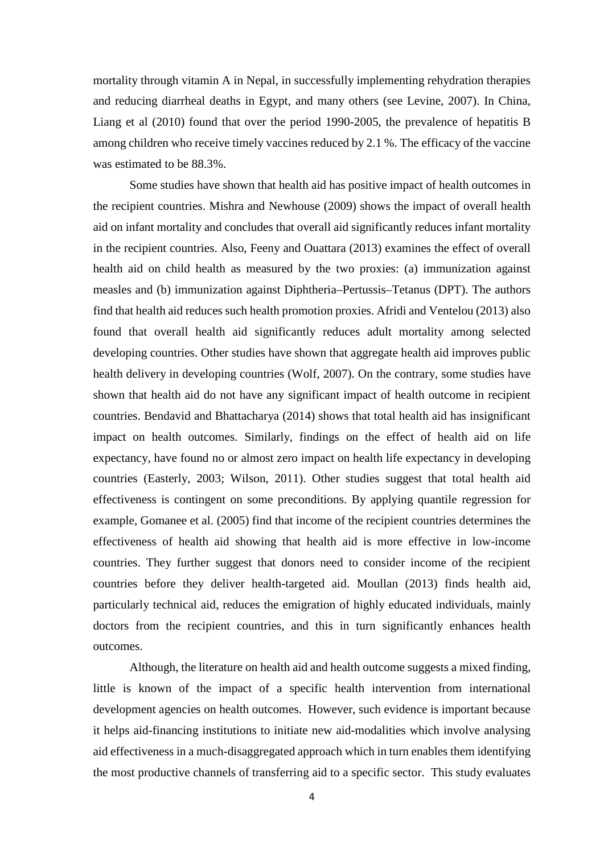mortality through vitamin A in Nepal, in successfully implementing rehydration therapies and reducing diarrheal deaths in Egypt, and many others (see Levine, 2007). In China, Liang et al (2010) found that over the period 1990-2005, the prevalence of hepatitis B among children who receive timely vaccines reduced by 2.1 %. The efficacy of the vaccine was estimated to be 88.3%.

Some studies have shown that health aid has positive impact of health outcomes in the recipient countries. Mishra and Newhouse (2009) shows the impact of overall health aid on infant mortality and concludes that overall aid significantly reduces infant mortality in the recipient countries. Also, Feeny and Ouattara (2013) examines the effect of overall health aid on child health as measured by the two proxies: (a) immunization against measles and (b) immunization against Diphtheria–Pertussis–Tetanus (DPT). The authors find that health aid reduces such health promotion proxies. Afridi and Ventelou (2013) also found that overall health aid significantly reduces adult mortality among selected developing countries. Other studies have shown that aggregate health aid improves public health delivery in developing countries (Wolf, 2007). On the contrary, some studies have shown that health aid do not have any significant impact of health outcome in recipient countries. Bendavid and Bhattacharya (2014) shows that total health aid has insignificant impact on health outcomes. Similarly, findings on the effect of health aid on life expectancy, have found no or almost zero impact on health life expectancy in developing countries (Easterly, 2003; Wilson, 2011). Other studies suggest that total health aid effectiveness is contingent on some preconditions. By applying quantile regression for example, Gomanee et al. (2005) find that income of the recipient countries determines the effectiveness of health aid showing that health aid is more effective in low-income countries. They further suggest that donors need to consider income of the recipient countries before they deliver health-targeted aid. Moullan (2013) finds health aid, particularly technical aid, reduces the emigration of highly educated individuals, mainly doctors from the recipient countries, and this in turn significantly enhances health outcomes.

Although, the literature on health aid and health outcome suggests a mixed finding, little is known of the impact of a specific health intervention from international development agencies on health outcomes. However, such evidence is important because it helps aid-financing institutions to initiate new aid-modalities which involve analysing aid effectiveness in a much-disaggregated approach which in turn enables them identifying the most productive channels of transferring aid to a specific sector. This study evaluates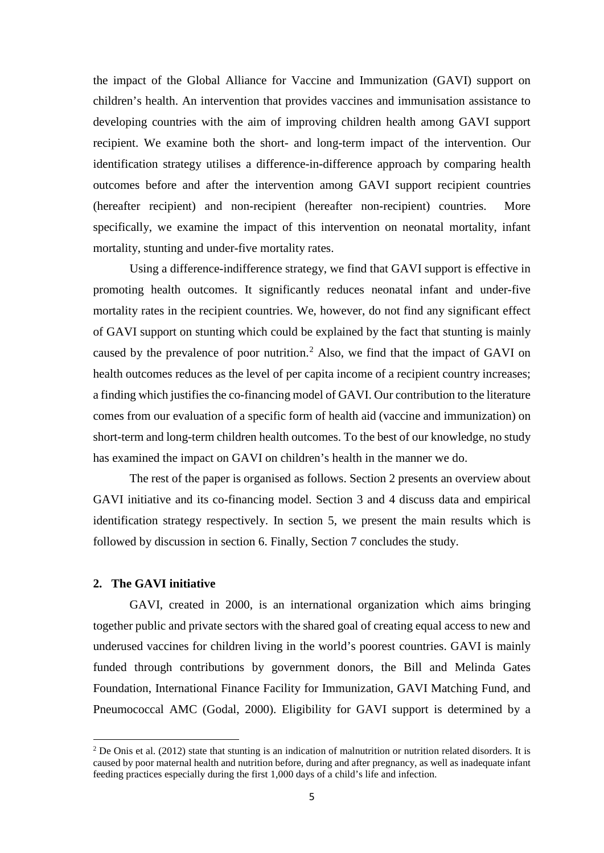the impact of the Global Alliance for Vaccine and Immunization (GAVI) support on children's health. An intervention that provides vaccines and immunisation assistance to developing countries with the aim of improving children health among GAVI support recipient. We examine both the short- and long-term impact of the intervention. Our identification strategy utilises a difference-in-difference approach by comparing health outcomes before and after the intervention among GAVI support recipient countries (hereafter recipient) and non-recipient (hereafter non-recipient) countries. More specifically, we examine the impact of this intervention on neonatal mortality, infant mortality, stunting and under-five mortality rates.

Using a difference-indifference strategy, we find that GAVI support is effective in promoting health outcomes. It significantly reduces neonatal infant and under-five mortality rates in the recipient countries. We, however, do not find any significant effect of GAVI support on stunting which could be explained by the fact that stunting is mainly caused by the prevalence of poor nutrition.<sup>[2](#page-4-0)</sup> Also, we find that the impact of GAVI on health outcomes reduces as the level of per capita income of a recipient country increases; a finding which justifies the co-financing model of GAVI. Our contribution to the literature comes from our evaluation of a specific form of health aid (vaccine and immunization) on short-term and long-term children health outcomes. To the best of our knowledge, no study has examined the impact on GAVI on children's health in the manner we do.

The rest of the paper is organised as follows. Section 2 presents an overview about GAVI initiative and its co-financing model. Section 3 and 4 discuss data and empirical identification strategy respectively. In section 5, we present the main results which is followed by discussion in section 6. Finally, Section 7 concludes the study.

## **2. The GAVI initiative**

 $\overline{a}$ 

GAVI, created in 2000, is an international organization which aims bringing together public and private sectors with the shared goal of creating equal access to new and underused vaccines for children living in the world's poorest countries. GAVI is mainly funded through contributions by government donors, the Bill and Melinda Gates Foundation, International Finance Facility for Immunization, GAVI Matching Fund, and Pneumococcal AMC (Godal, 2000). Eligibility for GAVI support is determined by a

<span id="page-4-0"></span><sup>&</sup>lt;sup>2</sup> De Onis et al. (2012) state that stunting is an indication of malnutrition or nutrition related disorders. It is caused by poor maternal health and nutrition before, during and after pregnancy, as well as inadequate infant feeding practices especially during the first 1,000 days of a child's life and infection.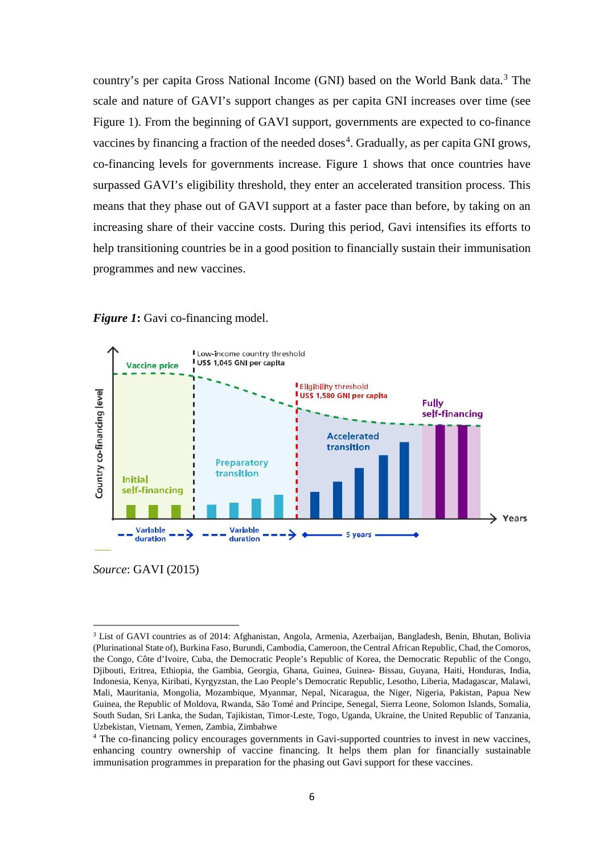country's per capita Gross National Income (GNI) based on the World Bank data.<sup>[3](#page-5-0)</sup> The scale and nature of GAVI's support changes as per capita GNI increases over time (see Figure 1). From the beginning of GAVI support, governments are expected to co-finance vaccines by financing a fraction of the needed doses<sup>[4](#page-5-1)</sup>. Gradually, as per capita GNI grows, co-financing levels for governments increase. Figure 1 shows that once countries have surpassed GAVI's eligibility threshold, they enter an accelerated transition process. This means that they phase out of GAVI support at a faster pace than before, by taking on an increasing share of their vaccine costs. During this period, Gavi intensifies its efforts to help transitioning countries be in a good position to financially sustain their immunisation programmes and new vaccines.





*Source*: GAVI (2015)

<span id="page-5-0"></span><sup>3</sup> List of GAVI countries as of 2014: Afghanistan, Angola, Armenia, Azerbaijan, Bangladesh, Benin, Bhutan, Bolivia (Plurinational State of), Burkina Faso, Burundi, Cambodia, Cameroon, the Central African Republic, Chad, the Comoros, the Congo, Côte d'Ivoire, Cuba, the Democratic People's Republic of Korea, the Democratic Republic of the Congo, Djibouti, Eritrea, Ethiopia, the Gambia, Georgia, Ghana, Guinea, Guinea- Bissau, Guyana, Haiti, Honduras, India, Indonesia, Kenya, Kiribati, Kyrgyzstan, the Lao People's Democratic Republic, Lesotho, Liberia, Madagascar, Malawi, Mali, Mauritania, Mongolia, Mozambique, Myanmar, Nepal, Nicaragua, the Niger, Nigeria, Pakistan, Papua New Guinea, the Republic of Moldova, Rwanda, São Tomé and Príncipe, Senegal, Sierra Leone, Solomon Islands, Somalia, South Sudan, Sri Lanka, the Sudan, Tajikistan, Timor-Leste, Togo, Uganda, Ukraine, the United Republic of Tanzania, Uzbekistan, Vietnam, Yemen, Zambia, Zimbabwe

<span id="page-5-1"></span><sup>&</sup>lt;sup>4</sup> The co-financing policy encourages governments in Gavi-supported countries to invest in new vaccines, enhancing country ownership of vaccine financing. It helps them plan for financially sustainable immunisation programmes in preparation for the phasing out Gavi support for these vaccines.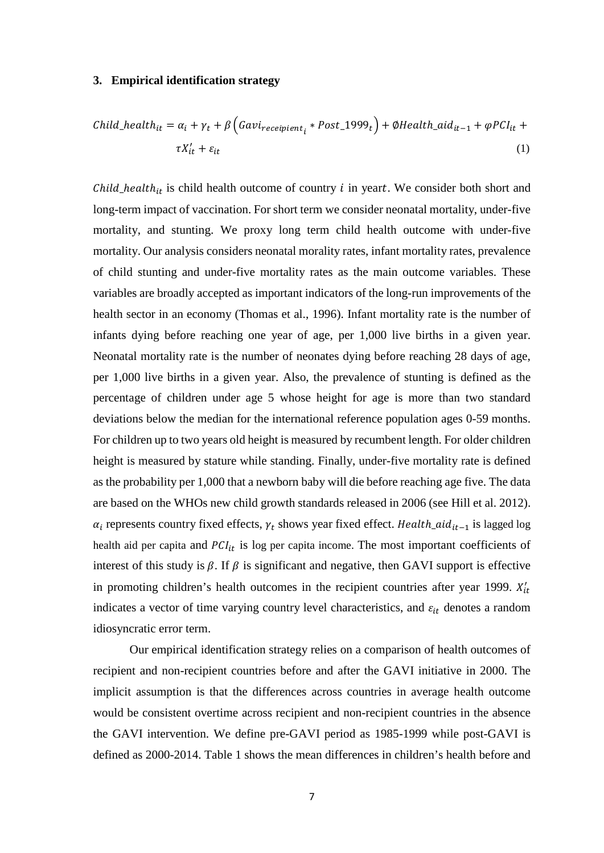### **3. Empirical identification strategy**

Child<sub>it</sub> = 
$$
\alpha_i + \gamma_t + \beta \left( Gavi_{reception_t} * Post_1999_t \right) + \emptyset Health_aid_{it-1} + \emptyset PCI_{it} + \tau X'_{it} + \varepsilon_{it}
$$
 (1)

 $Child\_health_{it}$  is child health outcome of country  $i$  in yeart. We consider both short and long-term impact of vaccination. For short term we consider neonatal mortality, under-five mortality, and stunting. We proxy long term child health outcome with under-five mortality. Our analysis considers neonatal morality rates, infant mortality rates, prevalence of child stunting and under-five mortality rates as the main outcome variables. These variables are broadly accepted as important indicators of the long-run improvements of the health sector in an economy (Thomas et al., 1996). Infant mortality rate is the number of infants dying before reaching one year of age, per 1,000 live births in a given year. Neonatal mortality rate is the number of neonates dying before reaching 28 days of age, per 1,000 live births in a given year. Also, the prevalence of stunting is defined as the percentage of children under age 5 whose height for age is more than two standard deviations below the median for the international reference population ages 0-59 months. For children up to two years old height is measured by recumbent length. For older children height is measured by stature while standing. Finally, under-five mortality rate is defined as the probability per 1,000 that a newborn baby will die before reaching age five. The data are based on the WHOs new child growth standards released in 2006 (see Hill et al. 2012).  $\alpha_i$  represents country fixed effects,  $\gamma_t$  shows year fixed effect. Health\_aid<sub>it-1</sub> is lagged log health aid per capita and  $PCI_{it}$  is log per capita income. The most important coefficients of interest of this study is  $\beta$ . If  $\beta$  is significant and negative, then GAVI support is effective in promoting children's health outcomes in the recipient countries after year 1999.  $X'_{it}$ indicates a vector of time varying country level characteristics, and  $\varepsilon_{it}$  denotes a random idiosyncratic error term.

Our empirical identification strategy relies on a comparison of health outcomes of recipient and non-recipient countries before and after the GAVI initiative in 2000. The implicit assumption is that the differences across countries in average health outcome would be consistent overtime across recipient and non-recipient countries in the absence the GAVI intervention. We define pre-GAVI period as 1985-1999 while post-GAVI is defined as 2000-2014. Table 1 shows the mean differences in children's health before and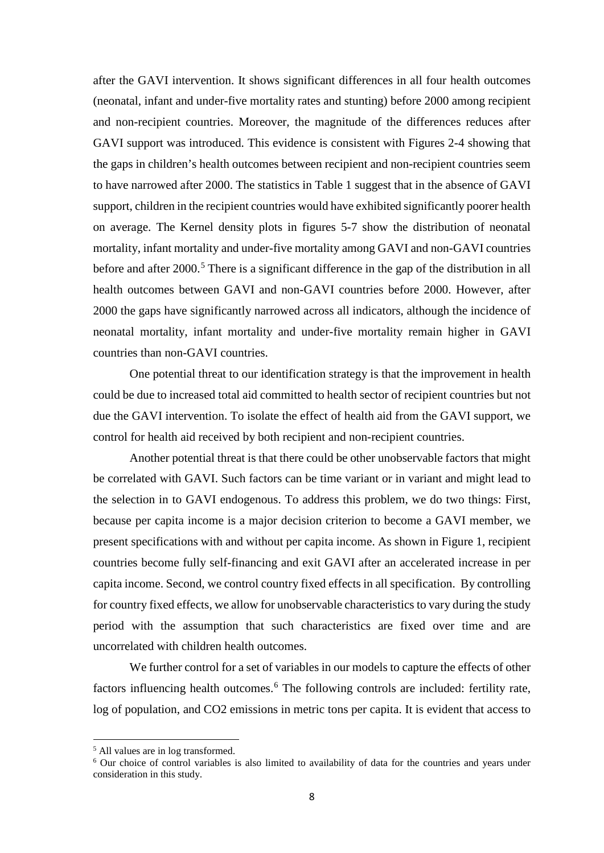after the GAVI intervention. It shows significant differences in all four health outcomes (neonatal, infant and under-five mortality rates and stunting) before 2000 among recipient and non-recipient countries. Moreover, the magnitude of the differences reduces after GAVI support was introduced. This evidence is consistent with Figures 2-4 showing that the gaps in children's health outcomes between recipient and non-recipient countries seem to have narrowed after 2000. The statistics in Table 1 suggest that in the absence of GAVI support, children in the recipient countries would have exhibited significantly poorer health on average. The Kernel density plots in figures 5-7 show the distribution of neonatal mortality, infant mortality and under-five mortality among GAVI and non-GAVI countries before and after 2000.<sup>[5](#page-7-0)</sup> There is a significant difference in the gap of the distribution in all health outcomes between GAVI and non-GAVI countries before 2000. However, after 2000 the gaps have significantly narrowed across all indicators, although the incidence of neonatal mortality, infant mortality and under-five mortality remain higher in GAVI countries than non-GAVI countries.

One potential threat to our identification strategy is that the improvement in health could be due to increased total aid committed to health sector of recipient countries but not due the GAVI intervention. To isolate the effect of health aid from the GAVI support, we control for health aid received by both recipient and non-recipient countries.

Another potential threat is that there could be other unobservable factors that might be correlated with GAVI. Such factors can be time variant or in variant and might lead to the selection in to GAVI endogenous. To address this problem, we do two things: First, because per capita income is a major decision criterion to become a GAVI member, we present specifications with and without per capita income. As shown in Figure 1, recipient countries become fully self-financing and exit GAVI after an accelerated increase in per capita income. Second, we control country fixed effects in all specification. By controlling for country fixed effects, we allow for unobservable characteristics to vary during the study period with the assumption that such characteristics are fixed over time and are uncorrelated with children health outcomes.

We further control for a set of variables in our models to capture the effects of other factors influencing health outcomes.<sup>[6](#page-7-1)</sup> The following controls are included: fertility rate, log of population, and CO2 emissions in metric tons per capita. It is evident that access to

<span id="page-7-1"></span><span id="page-7-0"></span> $5$  All values are in log transformed.<br><sup>6</sup> Our choice of control variables is also limited to availability of data for the countries and years under consideration in this study.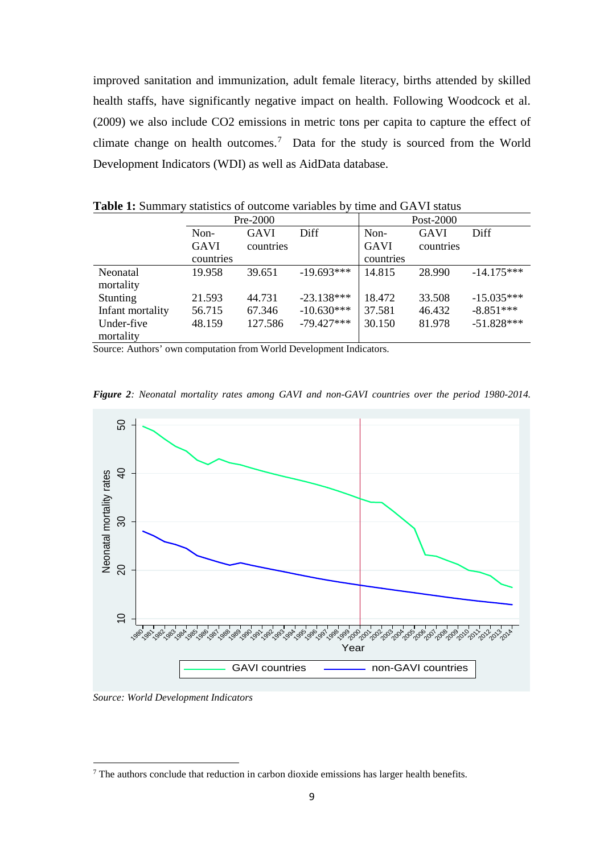improved sanitation and immunization, adult female literacy, births attended by skilled health staffs, have significantly negative impact on health. Following Woodcock et al. (2009) we also include CO2 emissions in metric tons per capita to capture the effect of climate change on health outcomes.<sup>[7](#page-8-0)</sup> Data for the study is sourced from the World Development Indicators (WDI) as well as AidData database.

|                  | Pre-2000    |             |              | Post-2000   |             |              |
|------------------|-------------|-------------|--------------|-------------|-------------|--------------|
|                  | Non-        | <b>GAVI</b> | Diff         | Non-        | <b>GAVI</b> | Diff         |
|                  | <b>GAVI</b> | countries   |              | <b>GAVI</b> | countries   |              |
|                  | countries   |             |              | countries   |             |              |
| Neonatal         | 19.958      | 39.651      | $-19.693***$ | 14.815      | 28.990      | $-14.175***$ |
| mortality        |             |             |              |             |             |              |
| <b>Stunting</b>  | 21.593      | 44.731      | $-23.138***$ | 18.472      | 33.508      | $-15.035***$ |
| Infant mortality | 56.715      | 67.346      | $-10.630***$ | 37.581      | 46.432      | $-8.851***$  |
| Under-five       | 48.159      | 127.586     | $-79.427***$ | 30.150      | 81.978      | $-51.828***$ |
| mortality        |             |             |              |             |             |              |

**Table 1:** Summary statistics of outcome variables by time and GAVI status

Source: Authors' own computation from World Development Indicators.

*Figure 2: Neonatal mortality rates among GAVI and non-GAVI countries over the period 1980-2014.* 



*Source: World Development Indicators*

<span id="page-8-0"></span>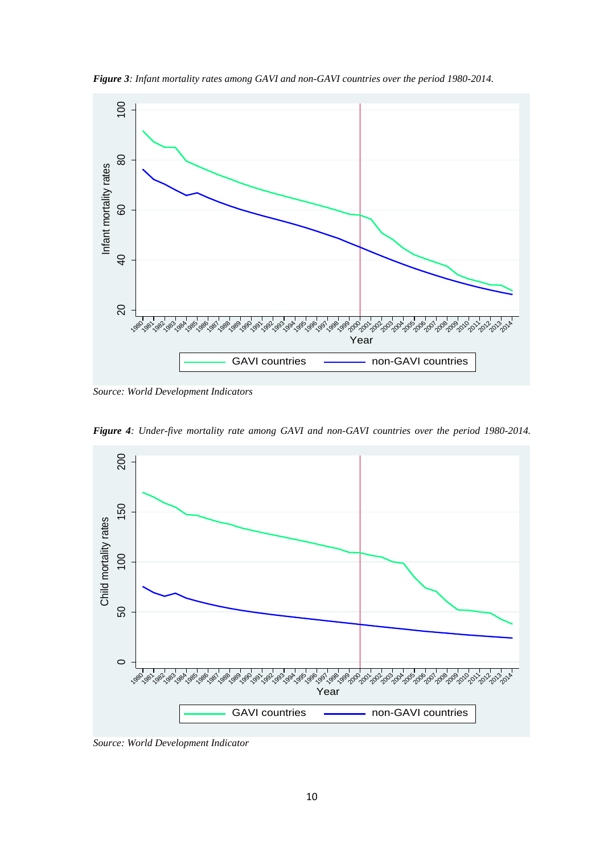*Figure 3: Infant mortality rates among GAVI and non-GAVI countries over the period 1980-2014.* 



*Source: World Development Indicators*

*Figure 4: Under-five mortality rate among GAVI and non-GAVI countries over the period 1980-2014.* 

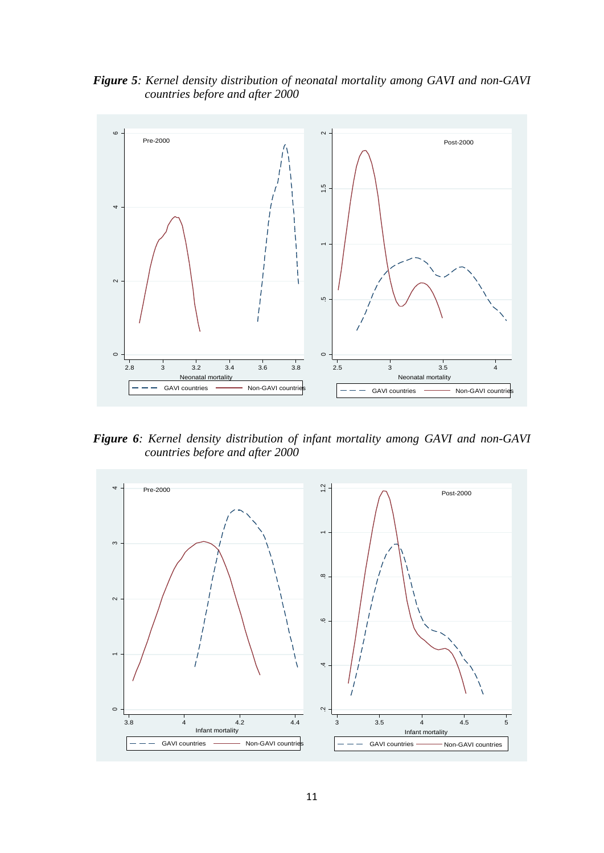*Figure 5: Kernel density distribution of neonatal mortality among GAVI and non-GAVI countries before and after 2000*



*Figure 6: Kernel density distribution of infant mortality among GAVI and non-GAVI countries before and after 2000*

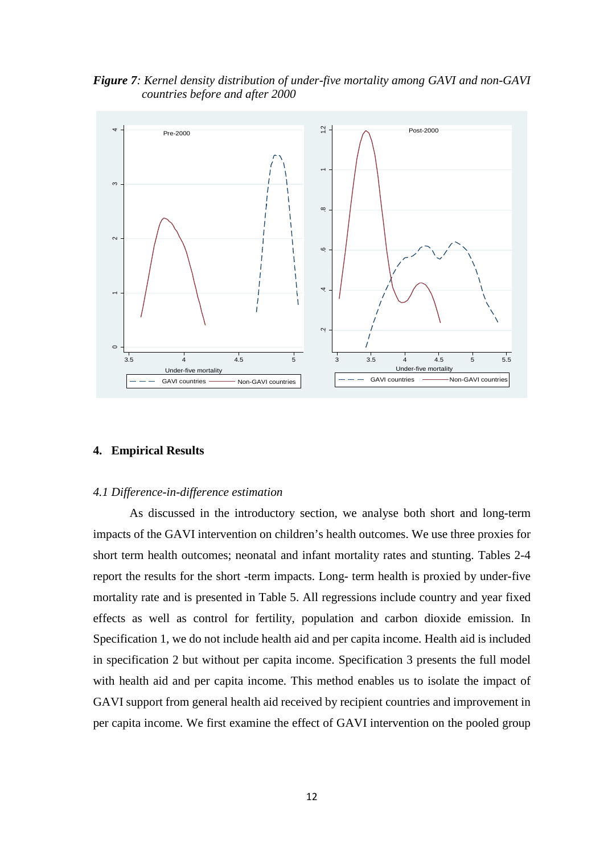*Figure 7: Kernel density distribution of under-five mortality among GAVI and non-GAVI countries before and after 2000*



## **4. Empirical Results**

## *4.1 Difference-in-difference estimation*

As discussed in the introductory section, we analyse both short and long-term impacts of the GAVI intervention on children's health outcomes. We use three proxies for short term health outcomes; neonatal and infant mortality rates and stunting. Tables 2-4 report the results for the short -term impacts. Long- term health is proxied by under-five mortality rate and is presented in Table 5. All regressions include country and year fixed effects as well as control for fertility, population and carbon dioxide emission. In Specification 1, we do not include health aid and per capita income. Health aid is included in specification 2 but without per capita income. Specification 3 presents the full model with health aid and per capita income. This method enables us to isolate the impact of GAVI support from general health aid received by recipient countries and improvement in per capita income. We first examine the effect of GAVI intervention on the pooled group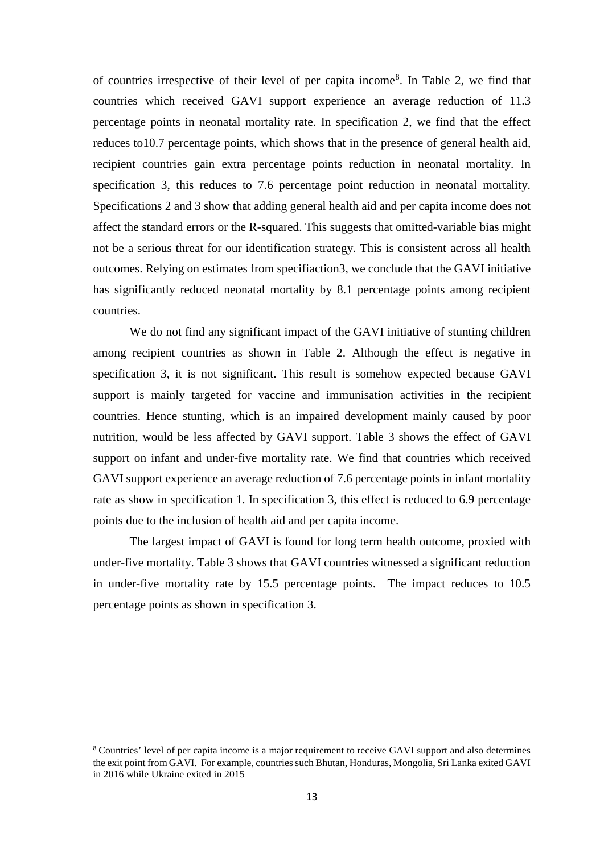of countries irrespective of their level of per capita income<sup>[8](#page-12-0)</sup>. In Table 2, we find that countries which received GAVI support experience an average reduction of 11.3 percentage points in neonatal mortality rate. In specification 2, we find that the effect reduces to10.7 percentage points, which shows that in the presence of general health aid, recipient countries gain extra percentage points reduction in neonatal mortality. In specification 3, this reduces to 7.6 percentage point reduction in neonatal mortality. Specifications 2 and 3 show that adding general health aid and per capita income does not affect the standard errors or the R-squared. This suggests that omitted-variable bias might not be a serious threat for our identification strategy. This is consistent across all health outcomes. Relying on estimates from specifiaction3, we conclude that the GAVI initiative has significantly reduced neonatal mortality by 8.1 percentage points among recipient countries.

We do not find any significant impact of the GAVI initiative of stunting children among recipient countries as shown in Table 2. Although the effect is negative in specification 3, it is not significant. This result is somehow expected because GAVI support is mainly targeted for vaccine and immunisation activities in the recipient countries. Hence stunting, which is an impaired development mainly caused by poor nutrition, would be less affected by GAVI support. Table 3 shows the effect of GAVI support on infant and under-five mortality rate. We find that countries which received GAVI support experience an average reduction of 7.6 percentage points in infant mortality rate as show in specification 1. In specification 3, this effect is reduced to 6.9 percentage points due to the inclusion of health aid and per capita income.

The largest impact of GAVI is found for long term health outcome, proxied with under-five mortality. Table 3 shows that GAVI countries witnessed a significant reduction in under-five mortality rate by 15.5 percentage points. The impact reduces to 10.5 percentage points as shown in specification 3.

<span id="page-12-0"></span> <sup>8</sup> Countries' level of per capita income is a major requirement to receive GAVI support and also determines the exit point from GAVI. For example, countries such Bhutan, Honduras, Mongolia, Sri Lanka exited GAVI in 2016 while Ukraine exited in 2015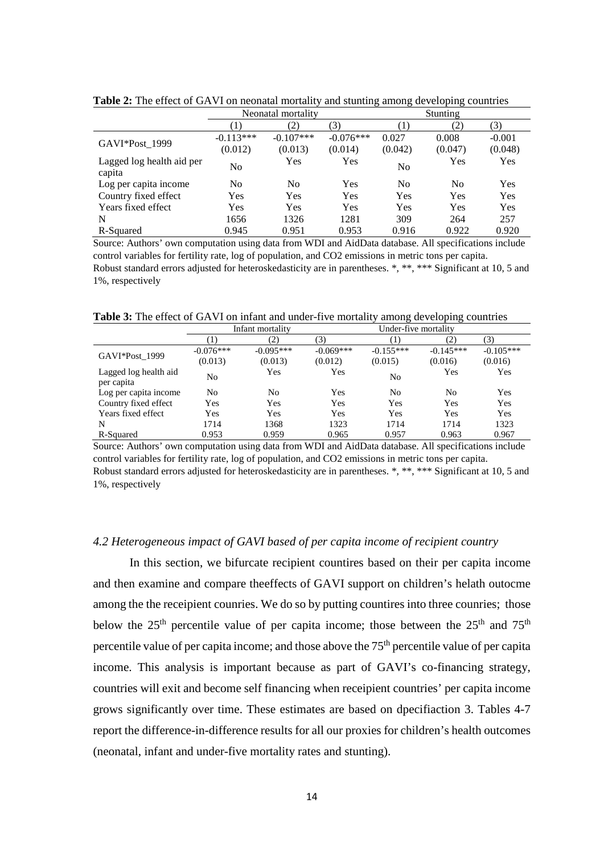|                                     | Neonatal mortality |             |             | <b>Stunting</b> |         |            |
|-------------------------------------|--------------------|-------------|-------------|-----------------|---------|------------|
|                                     | $\left(1\right)$   | (2)         | (3)         | (1)             | (2)     | (3)        |
| GAVI*Post_1999                      | $-0.113***$        | $-0.107***$ | $-0.076***$ | 0.027           | 0.008   | $-0.001$   |
|                                     | (0.012)            | (0.013)     | (0.014)     | (0.042)         | (0.047) | (0.048)    |
| Lagged log health aid per<br>capita | No                 | Yes         | Yes         | N <sub>0</sub>  | Yes     | <b>Yes</b> |
| Log per capita income               | No                 | No          | Yes         | N <sub>0</sub>  | No      | Yes        |
| Country fixed effect                | Yes                | Yes         | <b>Yes</b>  | Yes             | Yes     | <b>Yes</b> |
| Years fixed effect                  | Yes                | Yes         | Yes         | Yes             | Yes     | Yes        |
| N                                   | 1656               | 1326        | 1281        | 309             | 264     | 257        |
| R-Squared                           | 0.945              | 0.951       | 0.953       | 0.916           | 0.922   | 0.920      |

**Table 2:** The effect of GAVI on neonatal mortality and stunting among developing countries

Source: Authors' own computation using data from WDI and AidData database. All specifications include control variables for fertility rate, log of population, and CO2 emissions in metric tons per capita. Robust standard errors adjusted for heteroskedasticity are in parentheses. \*, \*\*, \*\*\* Significant at 10, 5 and 1%, respectively

**Table 3:** The effect of GAVI on infant and under-five mortality among developing countries

|                                     | Infant mortality |             |             | Under-five mortality |             |             |
|-------------------------------------|------------------|-------------|-------------|----------------------|-------------|-------------|
|                                     | $\mathbf{I}$     | (2)         | (3)         |                      | (2)         | (3)         |
| GAVI*Post 1999                      | $-0.076***$      | $-0.095***$ | $-0.069***$ | $-0.155***$          | $-0.145***$ | $-0.105***$ |
|                                     | (0.013)          | (0.013)     | (0.012)     | (0.015)              | (0.016)     | (0.016)     |
| Lagged log health aid<br>per capita | No               | Yes         | Yes         | No                   | Yes         | Yes         |
| Log per capita income               | No               | No          | Yes         | No                   | No          | Yes         |
| Country fixed effect                | Yes              | <b>Yes</b>  | Yes         | Yes                  | Yes         | Yes         |
| Years fixed effect                  | Yes              | Yes         | Yes         | Yes                  | Yes         | Yes         |
| N                                   | 1714             | 1368        | 1323        | 1714                 | 1714        | 1323        |
| R-Squared                           | 0.953            | 0.959       | 0.965       | 0.957                | 0.963       | 0.967       |

Source: Authors' own computation using data from WDI and AidData database. All specifications include control variables for fertility rate, log of population, and CO2 emissions in metric tons per capita. Robust standard errors adjusted for heteroskedasticity are in parentheses. \*, \*\*, \*\*\* Significant at 10, 5 and 1%, respectively

## *4.2 Heterogeneous impact of GAVI based of per capita income of recipient country*

In this section, we bifurcate recipient countires based on their per capita income and then examine and compare theeffects of GAVI support on children's helath outocme among the the receipient counries. We do so by putting countires into three counries; those below the  $25<sup>th</sup>$  percentile value of per capita income; those between the  $25<sup>th</sup>$  and  $75<sup>th</sup>$ percentile value of per capita income; and those above the  $75<sup>th</sup>$  percentile value of per capita income. This analysis is important because as part of GAVI's co-financing strategy, countries will exit and become self financing when receipient countries' per capita income grows significantly over time. These estimates are based on dpecifiaction 3. Tables 4-7 report the difference-in-difference results for all our proxies for children's health outcomes (neonatal, infant and under-five mortality rates and stunting).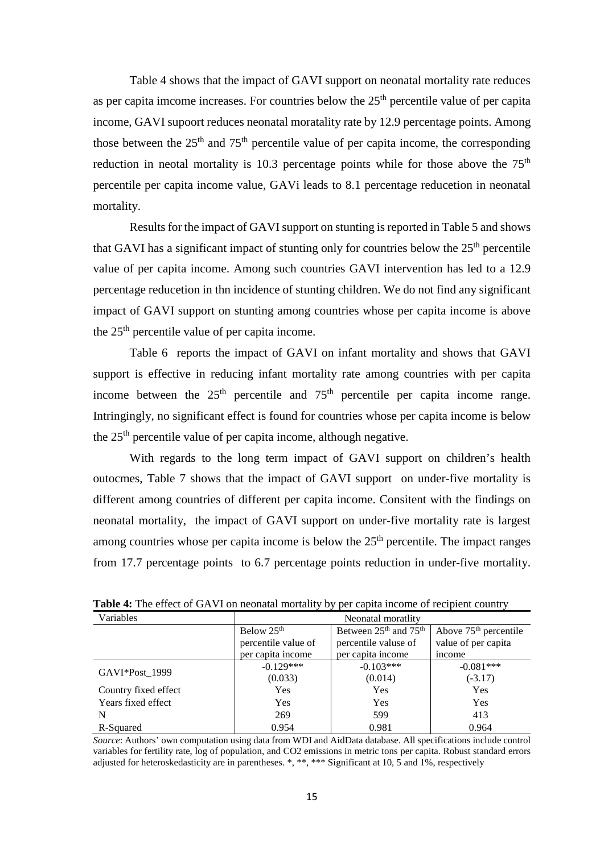Table 4 shows that the impact of GAVI support on neonatal mortality rate reduces as per capita imcome increases. For countries below the  $25<sup>th</sup>$  percentile value of per capita income, GAVI supoort reduces neonatal moratality rate by 12.9 percentage points. Among those between the  $25<sup>th</sup>$  and  $75<sup>th</sup>$  percentile value of per capita income, the corresponding reduction in neotal mortality is 10.3 percentage points while for those above the  $75<sup>th</sup>$ percentile per capita income value, GAVi leads to 8.1 percentage reducetion in neonatal mortality.

Results for the impact of GAVI support on stunting is reported in Table 5 and shows that GAVI has a significant impact of stunting only for countries below the  $25<sup>th</sup>$  percentile value of per capita income. Among such countries GAVI intervention has led to a 12.9 percentage reducetion in thn incidence of stunting children. We do not find any significant impact of GAVI support on stunting among countries whose per capita income is above the  $25<sup>th</sup>$  percentile value of per capita income.

Table 6 reports the impact of GAVI on infant mortality and shows that GAVI support is effective in reducing infant mortality rate among countries with per capita income between the  $25<sup>th</sup>$  percentile and  $75<sup>th</sup>$  percentile per capita income range. Intringingly, no significant effect is found for countries whose per capita income is below the 25th percentile value of per capita income, although negative.

With regards to the long term impact of GAVI support on children's health outocmes, Table 7 shows that the impact of GAVI support on under-five mortality is different among countries of different per capita income. Consitent with the findings on neonatal mortality, the impact of GAVI support on under-five mortality rate is largest among countries whose per capita income is below the  $25<sup>th</sup>$  percentile. The impact ranges from 17.7 percentage points to 6.7 percentage points reduction in under-five mortality.

| Variables            | Neonatal moratlity     |                                               |                         |  |
|----------------------|------------------------|-----------------------------------------------|-------------------------|--|
|                      | Below 25 <sup>th</sup> | Between 25 <sup>th</sup> and 75 <sup>th</sup> | Above $75th$ percentile |  |
|                      | percentile value of    | percentile valuse of                          | value of per capita     |  |
|                      | per capita income      | per capita income                             | income                  |  |
| GAVI*Post 1999       | $-0.129***$            | $-0.103***$                                   | $-0.081***$             |  |
|                      | (0.033)                | (0.014)                                       | $(-3.17)$               |  |
| Country fixed effect | <b>Yes</b>             | Yes                                           | Yes                     |  |
| Years fixed effect   | <b>Yes</b>             | Yes                                           | Yes                     |  |
| N                    | 269                    | 599                                           | 413                     |  |
| R-Squared            | 0.954                  | 0.981                                         | 0.964                   |  |

Table 4: The effect of GAVI on neonatal mortality by per capita income of recipient country

*Source*: Authors' own computation using data from WDI and AidData database. All specifications include control variables for fertility rate, log of population, and CO2 emissions in metric tons per capita. Robust standard errors adjusted for heteroskedasticity are in parentheses. \*, \*\*, \*\*\* Significant at 10,  $\overline{5}$  and  $\overline{1\%}$ , respectively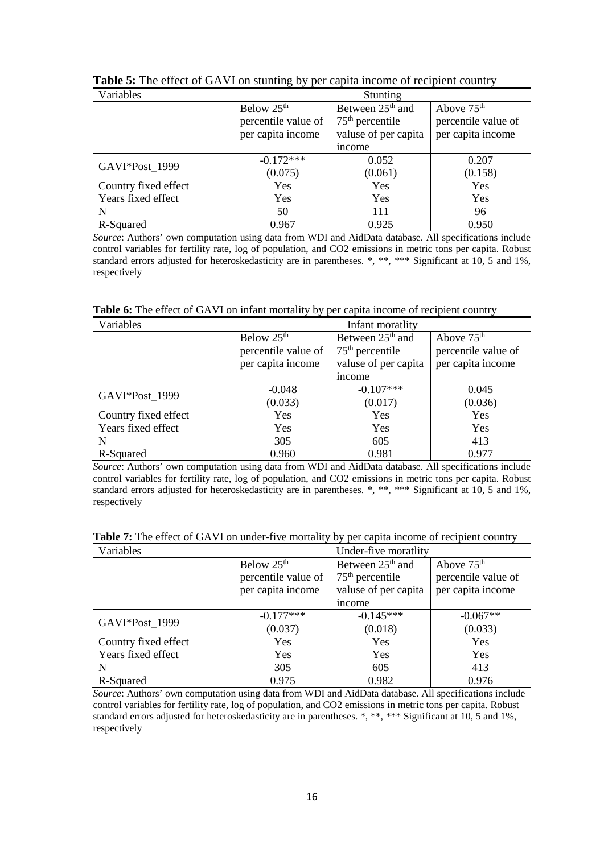| Variables            | Stunting               |                              |                        |  |  |
|----------------------|------------------------|------------------------------|------------------------|--|--|
|                      | Below 25 <sup>th</sup> | Between 25 <sup>th</sup> and | Above 75 <sup>th</sup> |  |  |
|                      | percentile value of    | $75th$ percentile            | percentile value of    |  |  |
|                      | per capita income      | valuse of per capita         | per capita income      |  |  |
|                      |                        | income                       |                        |  |  |
| GAVI*Post 1999       | $-0.172***$            | 0.052                        | 0.207                  |  |  |
|                      | (0.075)                | (0.061)                      | (0.158)                |  |  |
| Country fixed effect | <b>Yes</b>             | <b>Yes</b>                   | <b>Yes</b>             |  |  |
| Years fixed effect   | <b>Yes</b>             | Yes                          | <b>Yes</b>             |  |  |
| N                    | 50                     | 111                          | 96                     |  |  |
| R-Squared            | 0.967                  | 0.925                        | 0.950                  |  |  |

**Table 5:** The effect of GAVI on stunting by per capita income of recipient country

*Source*: Authors' own computation using data from WDI and AidData database. All specifications include control variables for fertility rate, log of population, and CO2 emissions in metric tons per capita. Robust standard errors adjusted for heteroskedasticity are in parentheses. \*, \*\*\* Significant at 10, 5 and 1%, respectively

Table 6: The effect of GAVI on infant mortality by per capita income of recipient country

| Variables            | Infant moratlity       |                              |                        |  |  |
|----------------------|------------------------|------------------------------|------------------------|--|--|
|                      | Below 25 <sup>th</sup> | Between 25 <sup>th</sup> and | Above 75 <sup>th</sup> |  |  |
|                      | percentile value of    | $75th$ percentile            | percentile value of    |  |  |
|                      | per capita income      | valuse of per capita         | per capita income      |  |  |
|                      |                        | income                       |                        |  |  |
|                      | $-0.048$               | $-0.107***$                  | 0.045                  |  |  |
| GAVI*Post_1999       | (0.033)                | (0.017)                      | (0.036)                |  |  |
| Country fixed effect | <b>Yes</b>             | <b>Yes</b>                   | <b>Yes</b>             |  |  |
| Years fixed effect   | Yes                    | Yes                          | <b>Yes</b>             |  |  |
| N                    | 305                    | 605                          | 413                    |  |  |
| R-Squared            | 0.960                  | 0.981                        | 0.977                  |  |  |

*Source*: Authors' own computation using data from WDI and AidData database. All specifications include control variables for fertility rate, log of population, and CO2 emissions in metric tons per capita. Robust standard errors adjusted for heteroskedasticity are in parentheses. \*, \*\*\* Significant at 10, 5 and 1%, respectively

| Table 7: The effect of GAVI on under-five mortality by per capita income of recipient country |  |  |  |
|-----------------------------------------------------------------------------------------------|--|--|--|
|-----------------------------------------------------------------------------------------------|--|--|--|

| Variables            | Under-five moratlity   |                              |                        |  |
|----------------------|------------------------|------------------------------|------------------------|--|
|                      | Below 25 <sup>th</sup> | Between 25 <sup>th</sup> and | Above 75 <sup>th</sup> |  |
|                      | percentile value of    | $75th$ percentile            | percentile value of    |  |
|                      | per capita income      | valuse of per capita         | per capita income      |  |
|                      |                        | income                       |                        |  |
|                      | $-0.177***$            | $-0.145***$                  | $-0.067**$             |  |
| GAVI*Post 1999       | (0.037)                | (0.018)                      | (0.033)                |  |
| Country fixed effect | <b>Yes</b>             | <b>Yes</b>                   | Yes                    |  |
| Years fixed effect   | Yes                    | Yes                          | <b>Yes</b>             |  |
| N                    | 305                    | 605                          | 413                    |  |
| R-Squared            | 0.975                  | 0.982                        | 0.976                  |  |

*Source*: Authors' own computation using data from WDI and AidData database. All specifications include control variables for fertility rate, log of population, and CO2 emissions in metric tons per capita. Robust standard errors adjusted for heteroskedasticity are in parentheses. \*, \*\*, \*\*\* Significant at 10, 5 and 1%, respectively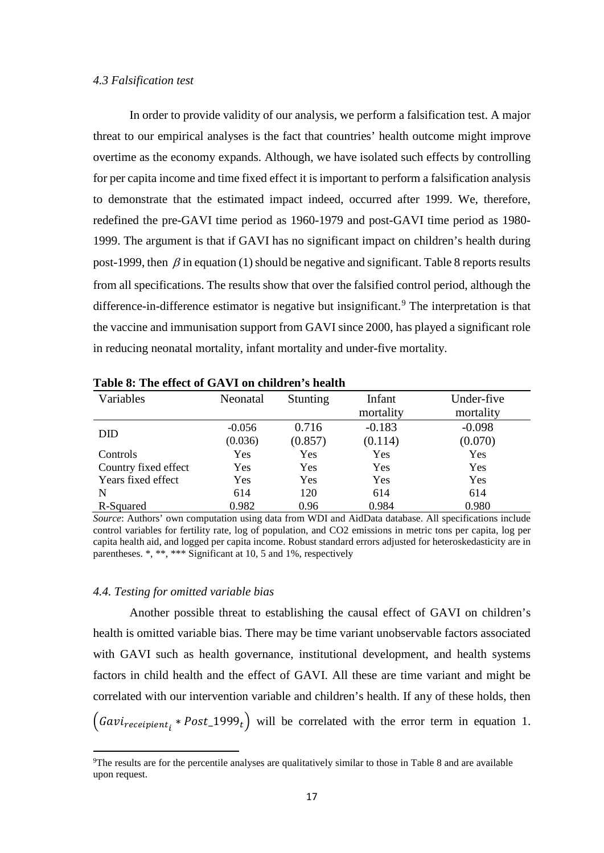#### *4.3 Falsification test*

In order to provide validity of our analysis, we perform a falsification test. A major threat to our empirical analyses is the fact that countries' health outcome might improve overtime as the economy expands. Although, we have isolated such effects by controlling for per capita income and time fixed effect it is important to perform a falsification analysis to demonstrate that the estimated impact indeed, occurred after 1999. We, therefore, redefined the pre-GAVI time period as 1960-1979 and post-GAVI time period as 1980- 1999. The argument is that if GAVI has no significant impact on children's health during post-1999, then  $\beta$  in equation (1) should be negative and significant. Table 8 reports results from all specifications. The results show that over the falsified control period, although the difference-in-difference estimator is negative but insignificant.<sup>[9](#page-16-0)</sup> The interpretation is that the vaccine and immunisation support from GAVI since 2000, has played a significant role in reducing neonatal mortality, infant mortality and under-five mortality.

| Table 0. The chect of GA VI on children 5 health |          |          |           |            |
|--------------------------------------------------|----------|----------|-----------|------------|
| Variables                                        | Neonatal | Stunting | Infant    | Under-five |
|                                                  |          |          | mortality | mortality  |
|                                                  | $-0.056$ | 0.716    | $-0.183$  | $-0.098$   |
| <b>DID</b>                                       | (0.036)  | (0.857)  | (0.114)   | (0.070)    |
| Controls                                         | Yes      | Yes      | Yes       | Yes        |
| Country fixed effect                             | Yes      | Yes      | Yes       | Yes        |
| Years fixed effect                               | Yes      | Yes      | Yes       | Yes        |
| N                                                | 614      | 120      | 614       | 614        |
| R-Squared                                        | 0.982    | 0.96     | 0.984     | 0.980      |

**Table 8: The effect of GAVI on children's health** 

*Source*: Authors' own computation using data from WDI and AidData database. All specifications include control variables for fertility rate, log of population, and CO2 emissions in metric tons per capita, log per capita health aid, and logged per capita income. Robust standard errors adjusted for heteroskedasticity are in parentheses. \*, \*\*, \*\*\* Significant at 10, 5 and 1%, respectively

#### *4.4. Testing for omitted variable bias*

 $\overline{a}$ 

Another possible threat to establishing the causal effect of GAVI on children's health is omitted variable bias. There may be time variant unobservable factors associated with GAVI such as health governance, institutional development, and health systems factors in child health and the effect of GAVI. All these are time variant and might be correlated with our intervention variable and children's health. If any of these holds, then  $(aavilecepient_i * Post_1999_t)$  will be correlated with the error term in equation 1.

<span id="page-16-0"></span><sup>&</sup>lt;sup>9</sup>The results are for the percentile analyses are qualitatively similar to those in Table 8 and are available upon request.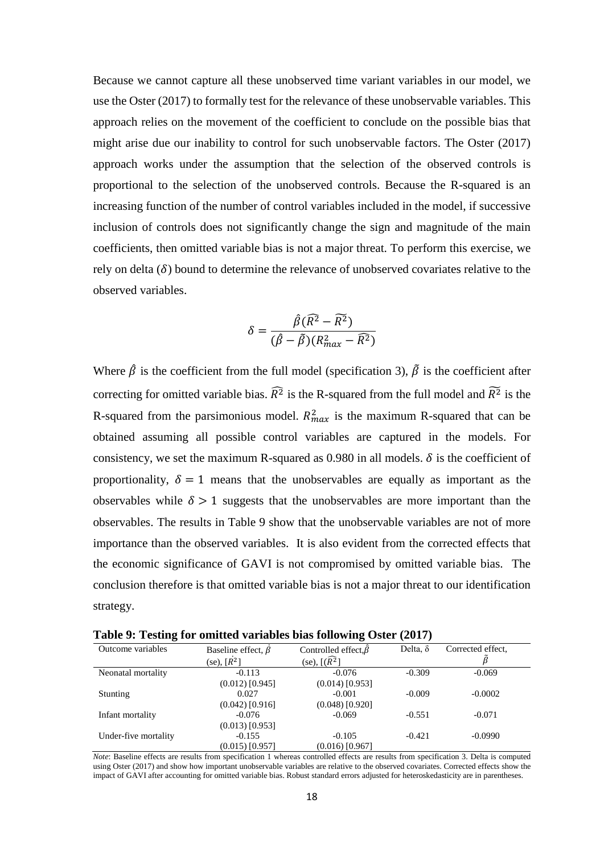Because we cannot capture all these unobserved time variant variables in our model, we use the Oster (2017) to formally test for the relevance of these unobservable variables. This approach relies on the movement of the coefficient to conclude on the possible bias that might arise due our inability to control for such unobservable factors. The Oster (2017) approach works under the assumption that the selection of the observed controls is proportional to the selection of the unobserved controls. Because the R-squared is an increasing function of the number of control variables included in the model, if successive inclusion of controls does not significantly change the sign and magnitude of the main coefficients, then omitted variable bias is not a major threat. To perform this exercise, we rely on delta  $(\delta)$  bound to determine the relevance of unobserved covariates relative to the observed variables.

$$
\delta = \frac{\hat{\beta}(\widehat{R}^2 - \widetilde{R}^2)}{(\hat{\beta} - \widetilde{\beta})(R_{max}^2 - \widehat{R}^2)}
$$

Where  $\hat{\beta}$  is the coefficient from the full model (specification 3),  $\tilde{\beta}$  is the coefficient after correcting for omitted variable bias.  $\overline{R}^2$  is the R-squared from the full model and  $\overline{R}^2$  is the R-squared from the parsimonious model.  $R_{max}^2$  is the maximum R-squared that can be obtained assuming all possible control variables are captured in the models. For consistency, we set the maximum R-squared as 0.980 in all models.  $\delta$  is the coefficient of proportionality,  $\delta = 1$  means that the unobservables are equally as important as the observables while  $\delta > 1$  suggests that the unobservables are more important than the observables. The results in Table 9 show that the unobservable variables are not of more importance than the observed variables. It is also evident from the corrected effects that the economic significance of GAVI is not compromised by omitted variable bias. The conclusion therefore is that omitted variable bias is not a major threat to our identification strategy.

**Table 9: Testing for omitted variables bias following Oster (2017)**

| Outcome variables    | Baseline effect, $\beta$ | Controlled effect, $\hat{\beta}$<br>(se), $[(\widehat{R^2}]$ | Delta, $\delta$         | Corrected effect, |
|----------------------|--------------------------|--------------------------------------------------------------|-------------------------|-------------------|
|                      | (se), $[R^2]$            |                                                              |                         |                   |
| Neonatal mortality   | $-0.113$                 | $-0.076$                                                     | $-0.309$                | $-0.069$          |
|                      | $(0.012)$ [0.945]        | $(0.014)$ [0.953]                                            |                         |                   |
| Stunting             | 0.027                    | $-0.001$                                                     | $-0.009$                | $-0.0002$         |
|                      | $(0.042)$ [0.916]        | $(0.048)$ [0.920]                                            |                         |                   |
| Infant mortality     | $-0.076$                 | $-0.069$                                                     | $-0.551$                | $-0.071$          |
|                      | $(0.013)$ [0.953]        |                                                              |                         |                   |
| Under-five mortality | $-0.155$                 | $-0.105$                                                     | $-0.421$                | $-0.0990$         |
|                      | $(0.015)$ [0.957]        | $(0.016)$ [0.967]                                            |                         |                   |
| $\sim$               |                          | .                                                            | $\sim$ $\sim$<br>$\sim$ | - - - -           |

*Note*: Baseline effects are results from specification 1 whereas controlled effects are results from specification 3. Delta is computed using Oster (2017) and show how important unobservable variables are relative to the observed covariates. Corrected effects show the impact of GAVI after accounting for omitted variable bias. Robust standard errors adjusted for heteroskedasticity are in parentheses.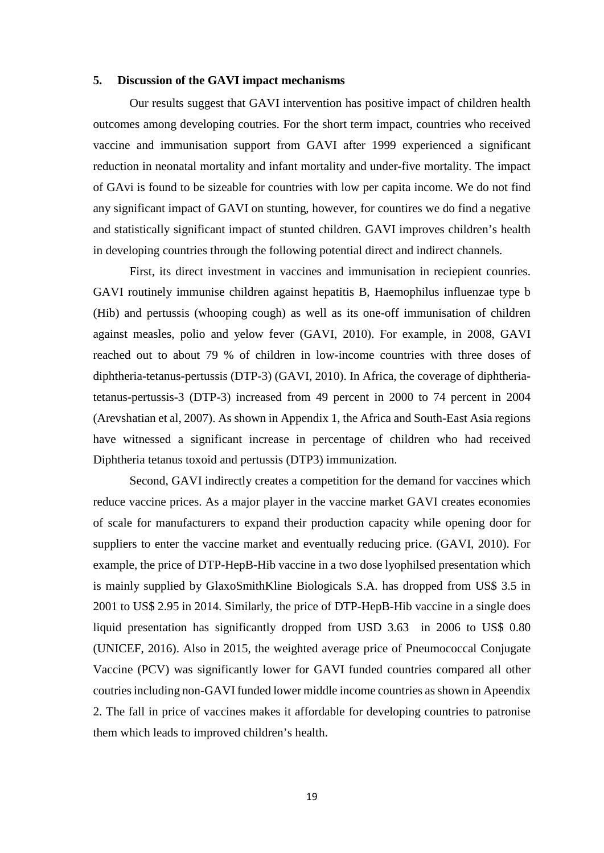### **5. Discussion of the GAVI impact mechanisms**

Our results suggest that GAVI intervention has positive impact of children health outcomes among developing coutries. For the short term impact, countries who received vaccine and immunisation support from GAVI after 1999 experienced a significant reduction in neonatal mortality and infant mortality and under-five mortality. The impact of GAvi is found to be sizeable for countries with low per capita income. We do not find any significant impact of GAVI on stunting, however, for countires we do find a negative and statistically significant impact of stunted children. GAVI improves children's health in developing countries through the following potential direct and indirect channels.

First, its direct investment in vaccines and immunisation in reciepient counries. GAVI routinely immunise children against hepatitis B, Haemophilus influenzae type b (Hib) and pertussis (whooping cough) as well as its one-off immunisation of children against measles, polio and yelow fever (GAVI, 2010). For example, in 2008, GAVI reached out to about 79 % of children in low-income countries with three doses of diphtheria-tetanus-pertussis (DTP-3) (GAVI, 2010). In Africa, the coverage of diphtheriatetanus-pertussis-3 (DTP-3) increased from 49 percent in 2000 to 74 percent in 2004 (Arevshatian et al, 2007). As shown in Appendix 1, the Africa and South-East Asia regions have witnessed a significant increase in percentage of children who had received Diphtheria tetanus toxoid and pertussis (DTP3) immunization.

Second, GAVI indirectly creates a competition for the demand for vaccines which reduce vaccine prices. As a major player in the vaccine market GAVI creates economies of scale for manufacturers to expand their production capacity while opening door for suppliers to enter the vaccine market and eventually reducing price. (GAVI, 2010). For example, the price of DTP-HepB-Hib vaccine in a two dose lyophilsed presentation which is mainly supplied by GlaxoSmithKline Biologicals S.A. has dropped from US\$ 3.5 in 2001 to US\$ 2.95 in 2014. Similarly, the price of DTP-HepB-Hib vaccine in a single does liquid presentation has significantly dropped from USD 3.63 in 2006 to US\$ 0.80 (UNICEF, 2016). Also in 2015, the weighted average price of Pneumococcal Conjugate Vaccine (PCV) was significantly lower for GAVI funded countries compared all other coutries including non-GAVI funded lower middle income countries as shown in Apeendix 2. The fall in price of vaccines makes it affordable for developing countries to patronise them which leads to improved children's health.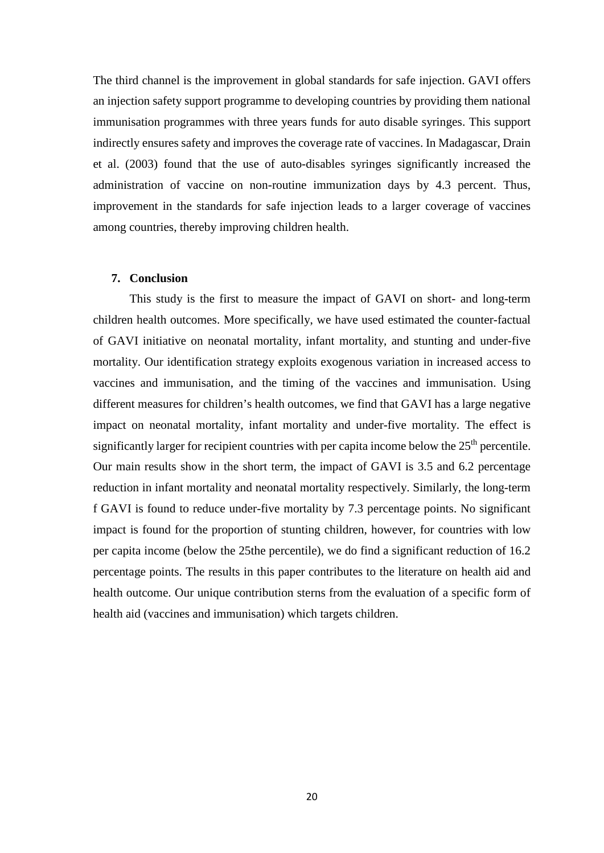The third channel is the improvement in global standards for safe injection. GAVI offers an injection safety support programme to developing countries by providing them national immunisation programmes with three years funds for auto disable syringes. This support indirectly ensures safety and improves the coverage rate of vaccines. In Madagascar, Drain et al. (2003) found that the use of auto-disables syringes significantly increased the administration of vaccine on non-routine immunization days by 4.3 percent. Thus, improvement in the standards for safe injection leads to a larger coverage of vaccines among countries, thereby improving children health.

#### **7. Conclusion**

This study is the first to measure the impact of GAVI on short- and long-term children health outcomes. More specifically, we have used estimated the counter-factual of GAVI initiative on neonatal mortality, infant mortality, and stunting and under-five mortality. Our identification strategy exploits exogenous variation in increased access to vaccines and immunisation, and the timing of the vaccines and immunisation. Using different measures for children's health outcomes, we find that GAVI has a large negative impact on neonatal mortality, infant mortality and under-five mortality. The effect is significantly larger for recipient countries with per capita income below the  $25<sup>th</sup>$  percentile. Our main results show in the short term, the impact of GAVI is 3.5 and 6.2 percentage reduction in infant mortality and neonatal mortality respectively. Similarly, the long-term f GAVI is found to reduce under-five mortality by 7.3 percentage points. No significant impact is found for the proportion of stunting children, however, for countries with low per capita income (below the 25the percentile), we do find a significant reduction of 16.2 percentage points. The results in this paper contributes to the literature on health aid and health outcome. Our unique contribution sterns from the evaluation of a specific form of health aid (vaccines and immunisation) which targets children.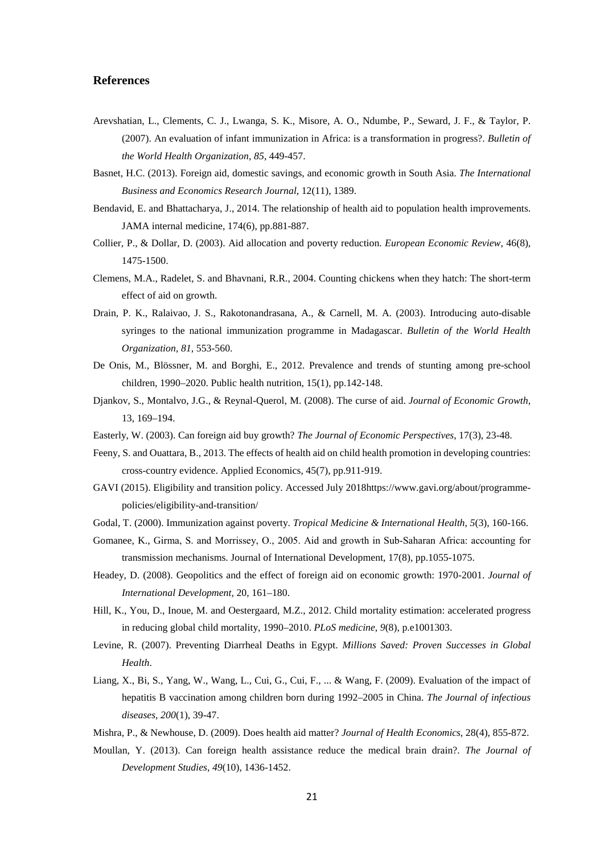#### **References**

- Arevshatian, L., Clements, C. J., Lwanga, S. K., Misore, A. O., Ndumbe, P., Seward, J. F., & Taylor, P. (2007). An evaluation of infant immunization in Africa: is a transformation in progress?. *Bulletin of the World Health Organization*, *85*, 449-457.
- Basnet, H.C. (2013). Foreign aid, domestic savings, and economic growth in South Asia. *The International Business and Economics Research Journal*, 12(11), 1389.
- Bendavid, E. and Bhattacharya, J., 2014. The relationship of health aid to population health improvements. JAMA internal medicine, 174(6), pp.881-887.
- Collier, P., & Dollar, D. (2003). Aid allocation and poverty reduction. *European Economic Review*, 46(8), 1475-1500.
- Clemens, M.A., Radelet, S. and Bhavnani, R.R., 2004. Counting chickens when they hatch: The short-term effect of aid on growth.
- Drain, P. K., Ralaivao, J. S., Rakotonandrasana, A., & Carnell, M. A. (2003). Introducing auto-disable syringes to the national immunization programme in Madagascar. *Bulletin of the World Health Organization*, *81*, 553-560.
- De Onis, M., Blössner, M. and Borghi, E., 2012. Prevalence and trends of stunting among pre-school children, 1990–2020. Public health nutrition, 15(1), pp.142-148.
- Djankov, S., Montalvo, J.G., & Reynal-Querol, M. (2008). The curse of aid. *Journal of Economic Growth*, 13, 169–194.
- Easterly, W. (2003). Can foreign aid buy growth? *The Journal of Economic Perspectives*, 17(3), 23-48.
- Feeny, S. and Ouattara, B., 2013. The effects of health aid on child health promotion in developing countries: cross-country evidence. Applied Economics, 45(7), pp.911-919.
- GAVI (2015). Eligibility and transition policy. Accessed July 2018https://www.gavi.org/about/programmepolicies/eligibility-and-transition/
- Godal, T. (2000). Immunization against poverty. *Tropical Medicine & International Health*, *5*(3), 160-166.
- Gomanee, K., Girma, S. and Morrissey, O., 2005. Aid and growth in Sub‐Saharan Africa: accounting for transmission mechanisms. Journal of International Development, 17(8), pp.1055-1075.
- Headey, D. (2008). Geopolitics and the effect of foreign aid on economic growth: 1970-2001. *Journal of International Development*, 20, 161–180.
- Hill, K., You, D., Inoue, M. and Oestergaard, M.Z., 2012. Child mortality estimation: accelerated progress in reducing global child mortality, 1990–2010. *PLoS medicine*, *9*(8), p.e1001303.
- Levine, R. (2007). Preventing Diarrheal Deaths in Egypt. *Millions Saved: Proven Successes in Global Health*.
- Liang, X., Bi, S., Yang, W., Wang, L., Cui, G., Cui, F., ... & Wang, F. (2009). Evaluation of the impact of hepatitis B vaccination among children born during 1992–2005 in China. *The Journal of infectious diseases*, *200*(1), 39-47.
- Mishra, P., & Newhouse, D. (2009). Does health aid matter? *Journal of Health Economics*, 28(4), 855-872.
- Moullan, Y. (2013). Can foreign health assistance reduce the medical brain drain?. *The Journal of Development Studies*, *49*(10), 1436-1452.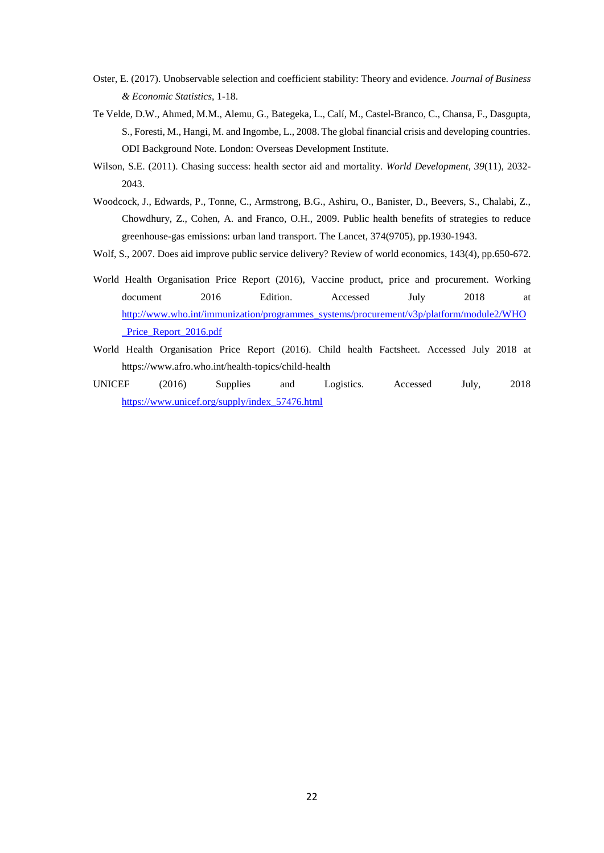- Oster, E. (2017). Unobservable selection and coefficient stability: Theory and evidence. *Journal of Business & Economic Statistics*, 1-18.
- Te Velde, D.W., Ahmed, M.M., Alemu, G., Bategeka, L., Calí, M., Castel-Branco, C., Chansa, F., Dasgupta, S., Foresti, M., Hangi, M. and Ingombe, L., 2008. The global financial crisis and developing countries. ODI Background Note. London: Overseas Development Institute.
- Wilson, S.E. (2011). Chasing success: health sector aid and mortality. *World Development*, *39*(11), 2032- 2043.
- Woodcock, J., Edwards, P., Tonne, C., Armstrong, B.G., Ashiru, O., Banister, D., Beevers, S., Chalabi, Z., Chowdhury, Z., Cohen, A. and Franco, O.H., 2009. Public health benefits of strategies to reduce greenhouse-gas emissions: urban land transport. The Lancet, 374(9705), pp.1930-1943.
- Wolf, S., 2007. Does aid improve public service delivery? Review of world economics, 143(4), pp.650-672.
- World Health Organisation Price Report (2016), Vaccine product, price and procurement. Working document 2016 Edition. Accessed July 2018 at [http://www.who.int/immunization/programmes\\_systems/procurement/v3p/platform/module2/WHO](http://www.who.int/immunization/programmes_systems/procurement/v3p/platform/module2/WHO_Price_Report_2016.pdf) Price Report 2016.pdf
- World Health Organisation Price Report (2016). Child health Factsheet. Accessed July 2018 at https://www.afro.who.int/health-topics/child-health
- UNICEF (2016) Supplies and Logistics. Accessed July, 2018 [https://www.unicef.org/supply/index\\_57476.html](https://www.unicef.org/supply/index_57476.html)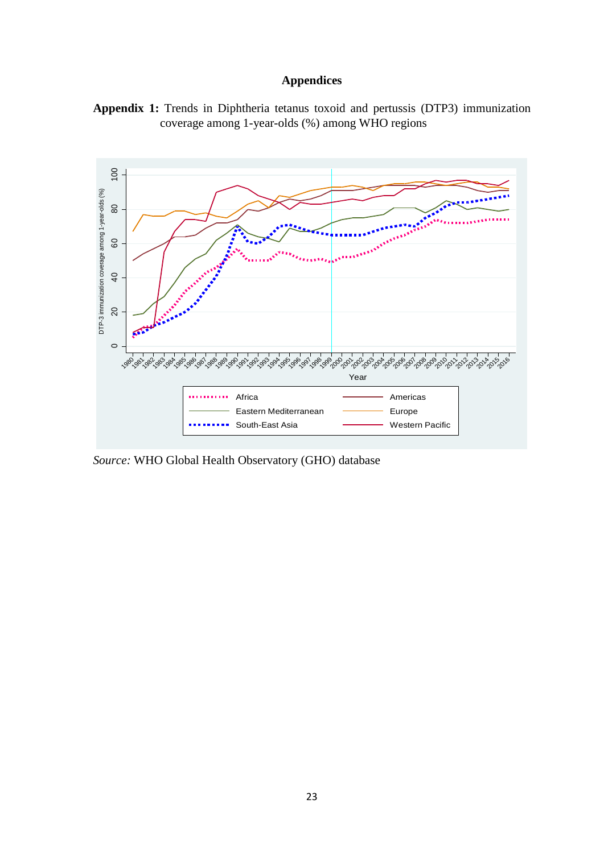# **Appendices**





*Source:* WHO Global Health Observatory (GHO) database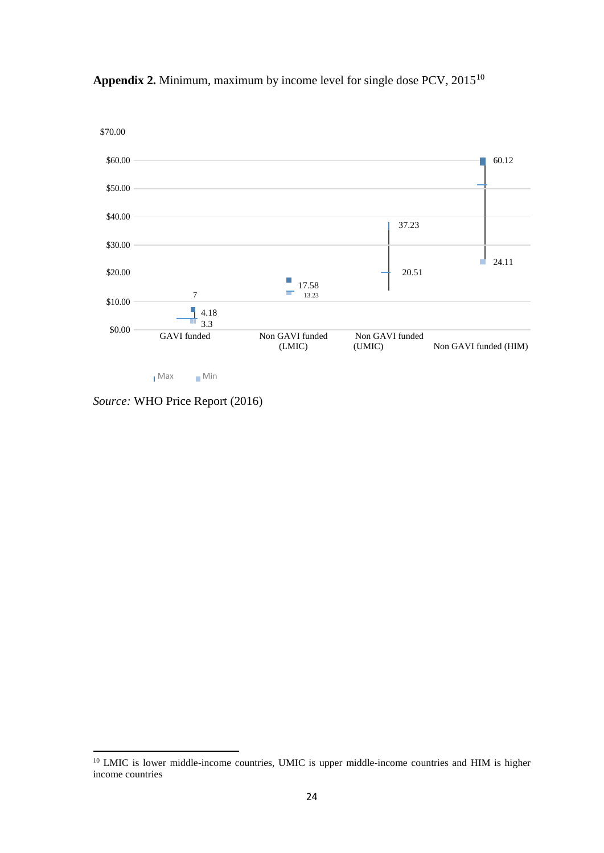

**Appendix 2.** Minimum, maximum by income level for single dose PCV, 2015[10](#page-23-0)

Max Min

*Source:* WHO Price Report (2016)

<span id="page-23-0"></span><sup>&</sup>lt;sup>10</sup> LMIC is lower middle-income countries, UMIC is upper middle-income countries and HIM is higher income countries